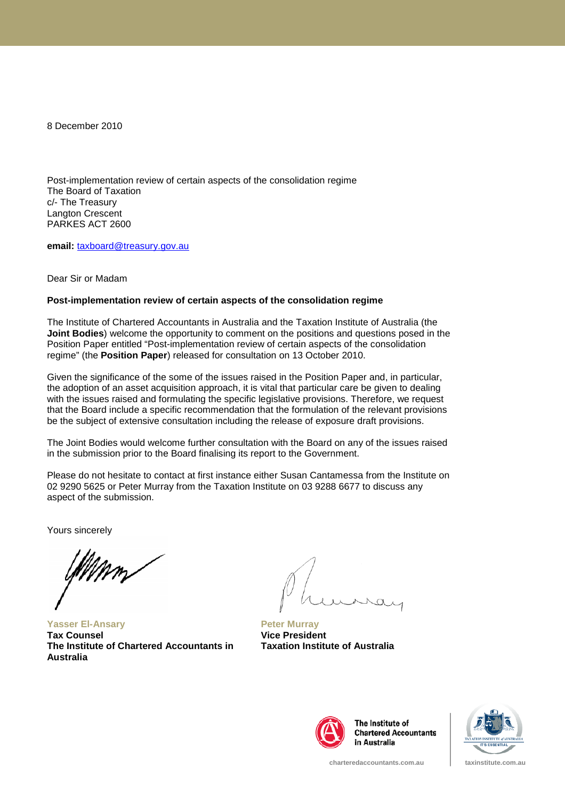8 December 2010

Post-implementation review of certain aspects of the consolidation regime The Board of Taxation c/- The Treasury Langton Crescent PARKES ACT 2600

**email:** [taxboard@treasury.gov.au](mailto:taxboard@treasury.gov.au)

Dear Sir or Madam

#### **Post-implementation review of certain aspects of the consolidation regime**

The Institute of Chartered Accountants in Australia and the Taxation Institute of Australia (the **Joint Bodies**) welcome the opportunity to comment on the positions and questions posed in the Position Paper entitled "Post-implementation review of certain aspects of the consolidation regime" (the **Position Paper**) released for consultation on 13 October 2010.

Given the significance of the some of the issues raised in the Position Paper and, in particular, the adoption of an asset acquisition approach, it is vital that particular care be given to dealing with the issues raised and formulating the specific legislative provisions. Therefore, we request that the Board include a specific recommendation that the formulation of the relevant provisions be the subject of extensive consultation including the release of exposure draft provisions.

The Joint Bodies would welcome further consultation with the Board on any of the issues raised in the submission prior to the Board finalising its report to the Government.

Please do not hesitate to contact at first instance either Susan Cantamessa from the Institute on 02 9290 5625 or Peter Murray from the Taxation Institute on 03 9288 6677 to discuss any aspect of the submission.

Yours sincerely

**Yasser El-Ansary Tax Counsel The Institute of Chartered Accountants in Australia**

**Peter Murray Vice President Taxation Institute of Australia**



The Institute of **Chartered Accountants** in Australia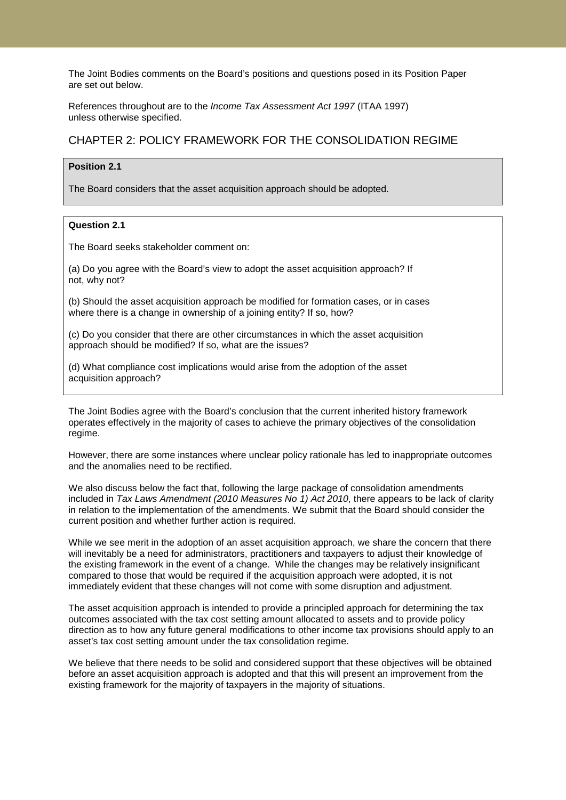The Joint Bodies comments on the Board's positions and questions posed in its Position Paper are set out below.

References throughout are to the *Income Tax Assessment Act 1997* (ITAA 1997) unless otherwise specified.

# CHAPTER 2: POLICY FRAMEWORK FOR THE CONSOLIDATION REGIME

### **Position 2.1**

The Board considers that the asset acquisition approach should be adopted.

## **Question 2.1**

The Board seeks stakeholder comment on:

(a) Do you agree with the Board's view to adopt the asset acquisition approach? If not, why not?

(b) Should the asset acquisition approach be modified for formation cases, or in cases where there is a change in ownership of a joining entity? If so, how?

(c) Do you consider that there are other circumstances in which the asset acquisition approach should be modified? If so, what are the issues?

(d) What compliance cost implications would arise from the adoption of the asset acquisition approach?

The Joint Bodies agree with the Board's conclusion that the current inherited history framework operates effectively in the majority of cases to achieve the primary objectives of the consolidation regime.

However, there are some instances where unclear policy rationale has led to inappropriate outcomes and the anomalies need to be rectified.

We also discuss below the fact that, following the large package of consolidation amendments included in *Tax Laws Amendment (2010 Measures No 1) Act 2010*, there appears to be lack of clarity in relation to the implementation of the amendments. We submit that the Board should consider the current position and whether further action is required.

While we see merit in the adoption of an asset acquisition approach, we share the concern that there will inevitably be a need for administrators, practitioners and taxpayers to adjust their knowledge of the existing framework in the event of a change. While the changes may be relatively insignificant compared to those that would be required if the acquisition approach were adopted, it is not immediately evident that these changes will not come with some disruption and adjustment.

The asset acquisition approach is intended to provide a principled approach for determining the tax outcomes associated with the tax cost setting amount allocated to assets and to provide policy direction as to how any future general modifications to other income tax provisions should apply to an asset's tax cost setting amount under the tax consolidation regime.

We believe that there needs to be solid and considered support that these objectives will be obtained before an asset acquisition approach is adopted and that this will present an improvement from the existing framework for the majority of taxpayers in the majority of situations.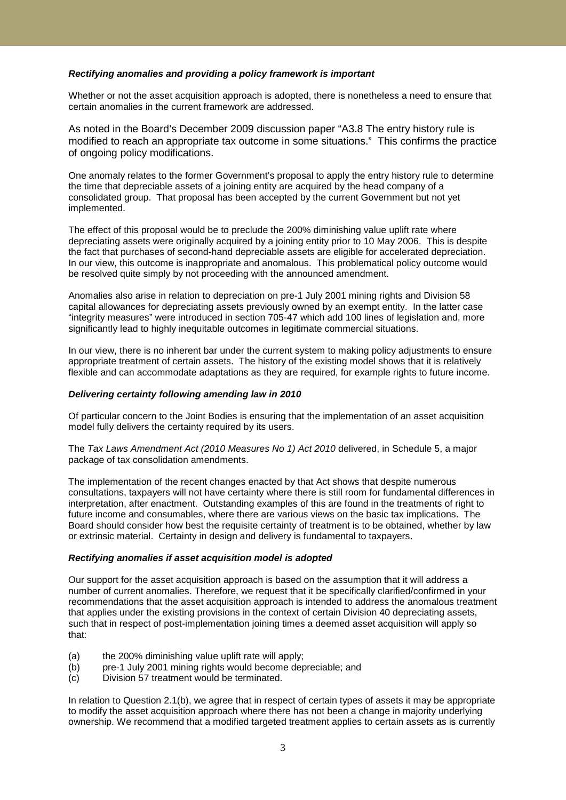### *Rectifying anomalies and providing a policy framework is important*

Whether or not the asset acquisition approach is adopted, there is nonetheless a need to ensure that certain anomalies in the current framework are addressed.

As noted in the Board's December 2009 discussion paper "A3.8 The entry history rule is modified to reach an appropriate tax outcome in some situations." This confirms the practice of ongoing policy modifications.

One anomaly relates to the former Government's proposal to apply the entry history rule to determine the time that depreciable assets of a joining entity are acquired by the head company of a consolidated group. That proposal has been accepted by the current Government but not yet implemented.

The effect of this proposal would be to preclude the 200% diminishing value uplift rate where depreciating assets were originally acquired by a joining entity prior to 10 May 2006. This is despite the fact that purchases of second-hand depreciable assets are eligible for accelerated depreciation. In our view, this outcome is inappropriate and anomalous. This problematical policy outcome would be resolved quite simply by not proceeding with the announced amendment.

Anomalies also arise in relation to depreciation on pre-1 July 2001 mining rights and Division 58 capital allowances for depreciating assets previously owned by an exempt entity. In the latter case "integrity measures" were introduced in section 705-47 which add 100 lines of legislation and, more significantly lead to highly inequitable outcomes in legitimate commercial situations.

In our view, there is no inherent bar under the current system to making policy adjustments to ensure appropriate treatment of certain assets. The history of the existing model shows that it is relatively flexible and can accommodate adaptations as they are required, for example rights to future income.

#### *Delivering certainty following amending law in 2010*

Of particular concern to the Joint Bodies is ensuring that the implementation of an asset acquisition model fully delivers the certainty required by its users.

The *Tax Laws Amendment Act (2010 Measures No 1) Act 2010* delivered, in Schedule 5, a major package of tax consolidation amendments.

The implementation of the recent changes enacted by that Act shows that despite numerous consultations, taxpayers will not have certainty where there is still room for fundamental differences in interpretation, after enactment. Outstanding examples of this are found in the treatments of right to future income and consumables, where there are various views on the basic tax implications. The Board should consider how best the requisite certainty of treatment is to be obtained, whether by law or extrinsic material. Certainty in design and delivery is fundamental to taxpayers.

## *Rectifying anomalies if asset acquisition model is adopted*

Our support for the asset acquisition approach is based on the assumption that it will address a number of current anomalies. Therefore, we request that it be specifically clarified/confirmed in your recommendations that the asset acquisition approach is intended to address the anomalous treatment that applies under the existing provisions in the context of certain Division 40 depreciating assets, such that in respect of post-implementation joining times a deemed asset acquisition will apply so that:

- (a) the 200% diminishing value uplift rate will apply;
- (b) pre-1 July 2001 mining rights would become depreciable; and
- (c) Division 57 treatment would be terminated.

In relation to Question 2.1(b), we agree that in respect of certain types of assets it may be appropriate to modify the asset acquisition approach where there has not been a change in majority underlying ownership. We recommend that a modified targeted treatment applies to certain assets as is currently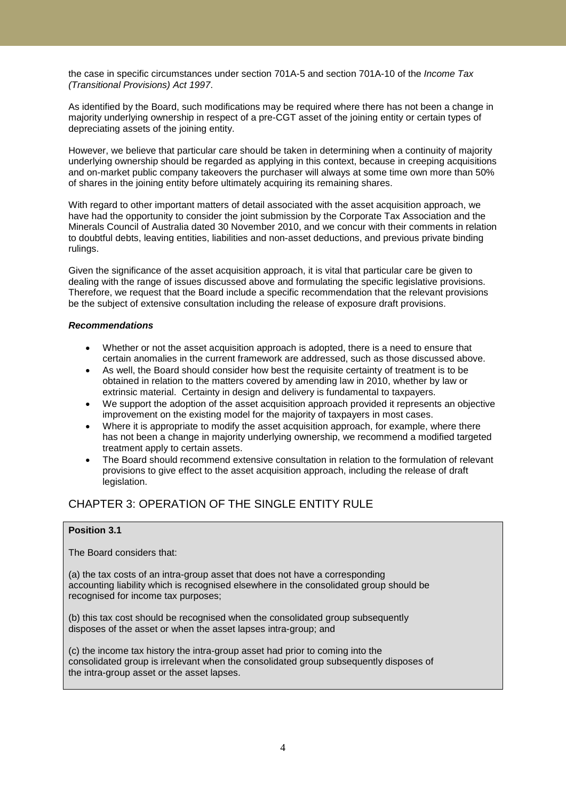the case in specific circumstances under section 701A-5 and section 701A-10 of the *Income Tax (Transitional Provisions) Act 1997*.

As identified by the Board, such modifications may be required where there has not been a change in majority underlying ownership in respect of a pre-CGT asset of the joining entity or certain types of depreciating assets of the joining entity.

However, we believe that particular care should be taken in determining when a continuity of majority underlying ownership should be regarded as applying in this context, because in creeping acquisitions and on-market public company takeovers the purchaser will always at some time own more than 50% of shares in the joining entity before ultimately acquiring its remaining shares.

With regard to other important matters of detail associated with the asset acquisition approach, we have had the opportunity to consider the joint submission by the Corporate Tax Association and the Minerals Council of Australia dated 30 November 2010, and we concur with their comments in relation to doubtful debts, leaving entities, liabilities and non-asset deductions, and previous private binding rulings.

Given the significance of the asset acquisition approach, it is vital that particular care be given to dealing with the range of issues discussed above and formulating the specific legislative provisions. Therefore, we request that the Board include a specific recommendation that the relevant provisions be the subject of extensive consultation including the release of exposure draft provisions.

## *Recommendations*

- Whether or not the asset acquisition approach is adopted, there is a need to ensure that certain anomalies in the current framework are addressed, such as those discussed above.
- As well, the Board should consider how best the requisite certainty of treatment is to be obtained in relation to the matters covered by amending law in 2010, whether by law or extrinsic material. Certainty in design and delivery is fundamental to taxpayers.
- We support the adoption of the asset acquisition approach provided it represents an objective improvement on the existing model for the majority of taxpayers in most cases.
- Where it is appropriate to modify the asset acquisition approach, for example, where there has not been a change in majority underlying ownership, we recommend a modified targeted treatment apply to certain assets.
- The Board should recommend extensive consultation in relation to the formulation of relevant provisions to give effect to the asset acquisition approach, including the release of draft legislation.

# CHAPTER 3: OPERATION OF THE SINGLE ENTITY RULE

## **Position 3.1**

The Board considers that:

(a) the tax costs of an intra-group asset that does not have a corresponding accounting liability which is recognised elsewhere in the consolidated group should be recognised for income tax purposes;

(b) this tax cost should be recognised when the consolidated group subsequently disposes of the asset or when the asset lapses intra-group; and

(c) the income tax history the intra-group asset had prior to coming into the consolidated group is irrelevant when the consolidated group subsequently disposes of the intra-group asset or the asset lapses.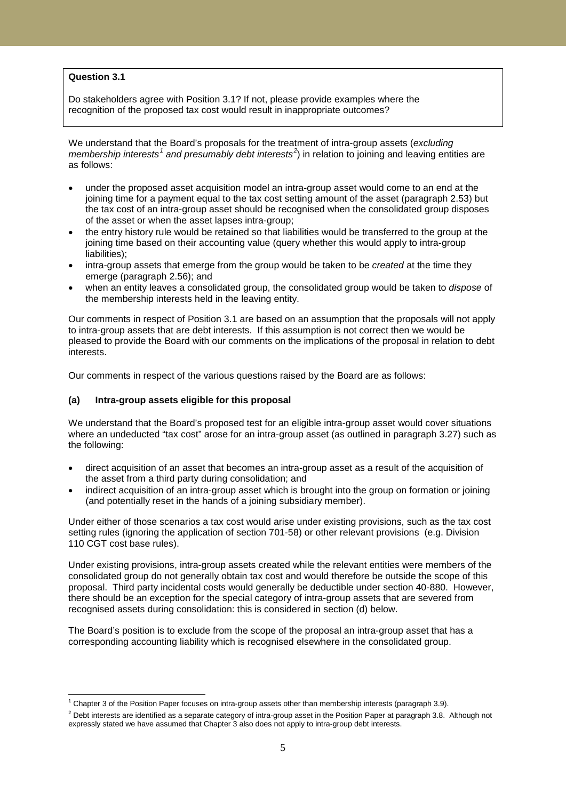## **Question 3.1**

Do stakeholders agree with Position 3.1? If not, please provide examples where the recognition of the proposed tax cost would result in inappropriate outcomes?

We understand that the Board's proposals for the treatment of intra-group assets (*excluding membership interests[1](#page-4-0) and presumably debt interests[2](#page-4-1)* ) in relation to joining and leaving entities are as follows:

- under the proposed asset acquisition model an intra-group asset would come to an end at the joining time for a payment equal to the tax cost setting amount of the asset (paragraph 2.53) but the tax cost of an intra-group asset should be recognised when the consolidated group disposes of the asset or when the asset lapses intra-group;
- the entry history rule would be retained so that liabilities would be transferred to the group at the joining time based on their accounting value (query whether this would apply to intra-group liabilities);
- intra-group assets that emerge from the group would be taken to be *created* at the time they emerge (paragraph 2.56); and
- when an entity leaves a consolidated group, the consolidated group would be taken to *dispose* of the membership interests held in the leaving entity.

Our comments in respect of Position 3.1 are based on an assumption that the proposals will not apply to intra-group assets that are debt interests. If this assumption is not correct then we would be pleased to provide the Board with our comments on the implications of the proposal in relation to debt interests.

Our comments in respect of the various questions raised by the Board are as follows:

### **(a) Intra-group assets eligible for this proposal**

We understand that the Board's proposed test for an eligible intra-group asset would cover situations where an undeducted "tax cost" arose for an intra-group asset (as outlined in paragraph 3.27) such as the following:

- direct acquisition of an asset that becomes an intra-group asset as a result of the acquisition of the asset from a third party during consolidation; and
- indirect acquisition of an intra-group asset which is brought into the group on formation or joining (and potentially reset in the hands of a joining subsidiary member).

Under either of those scenarios a tax cost would arise under existing provisions, such as the tax cost setting rules (ignoring the application of section 701-58) or other relevant provisions (e.g. Division 110 CGT cost base rules).

Under existing provisions, intra-group assets created while the relevant entities were members of the consolidated group do not generally obtain tax cost and would therefore be outside the scope of this proposal. Third party incidental costs would generally be deductible under section 40-880. However, there should be an exception for the special category of intra-group assets that are severed from recognised assets during consolidation: this is considered in section (d) below.

The Board's position is to exclude from the scope of the proposal an intra-group asset that has a corresponding accounting liability which is recognised elsewhere in the consolidated group.

 $1$  Chapter 3 of the Position Paper focuses on intra-group assets other than membership interests (paragraph 3.9).

<span id="page-4-1"></span><span id="page-4-0"></span><sup>&</sup>lt;sup>2</sup> Debt interests are identified as a separate category of intra-group asset in the Position Paper at paragraph 3.8. Although not expressly stated we have assumed that Chapter 3 also does not apply to intra-group debt interests.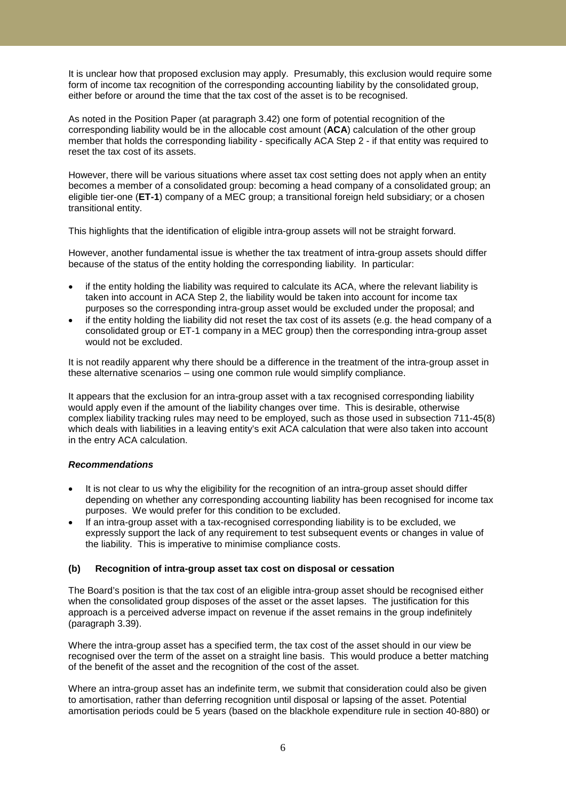It is unclear how that proposed exclusion may apply. Presumably, this exclusion would require some form of income tax recognition of the corresponding accounting liability by the consolidated group, either before or around the time that the tax cost of the asset is to be recognised.

As noted in the Position Paper (at paragraph 3.42) one form of potential recognition of the corresponding liability would be in the allocable cost amount (**ACA**) calculation of the other group member that holds the corresponding liability - specifically ACA Step 2 - if that entity was required to reset the tax cost of its assets.

However, there will be various situations where asset tax cost setting does not apply when an entity becomes a member of a consolidated group: becoming a head company of a consolidated group; an eligible tier-one (**ET-1**) company of a MEC group; a transitional foreign held subsidiary; or a chosen transitional entity.

This highlights that the identification of eligible intra-group assets will not be straight forward.

However, another fundamental issue is whether the tax treatment of intra-group assets should differ because of the status of the entity holding the corresponding liability. In particular:

- if the entity holding the liability was required to calculate its ACA, where the relevant liability is taken into account in ACA Step 2, the liability would be taken into account for income tax purposes so the corresponding intra-group asset would be excluded under the proposal; and
- if the entity holding the liability did not reset the tax cost of its assets (e.g. the head company of a consolidated group or ET-1 company in a MEC group) then the corresponding intra-group asset would not be excluded.

It is not readily apparent why there should be a difference in the treatment of the intra-group asset in these alternative scenarios – using one common rule would simplify compliance.

It appears that the exclusion for an intra-group asset with a tax recognised corresponding liability would apply even if the amount of the liability changes over time. This is desirable, otherwise complex liability tracking rules may need to be employed, such as those used in subsection 711-45(8) which deals with liabilities in a leaving entity's exit ACA calculation that were also taken into account in the entry ACA calculation.

## *Recommendations*

- It is not clear to us why the eligibility for the recognition of an intra-group asset should differ depending on whether any corresponding accounting liability has been recognised for income tax purposes. We would prefer for this condition to be excluded.
- If an intra-group asset with a tax-recognised corresponding liability is to be excluded, we expressly support the lack of any requirement to test subsequent events or changes in value of the liability. This is imperative to minimise compliance costs.

## **(b) Recognition of intra-group asset tax cost on disposal or cessation**

The Board's position is that the tax cost of an eligible intra-group asset should be recognised either when the consolidated group disposes of the asset or the asset lapses. The justification for this approach is a perceived adverse impact on revenue if the asset remains in the group indefinitely (paragraph 3.39).

Where the intra-group asset has a specified term, the tax cost of the asset should in our view be recognised over the term of the asset on a straight line basis. This would produce a better matching of the benefit of the asset and the recognition of the cost of the asset.

Where an intra-group asset has an indefinite term, we submit that consideration could also be given to amortisation, rather than deferring recognition until disposal or lapsing of the asset. Potential amortisation periods could be 5 years (based on the blackhole expenditure rule in section 40-880) or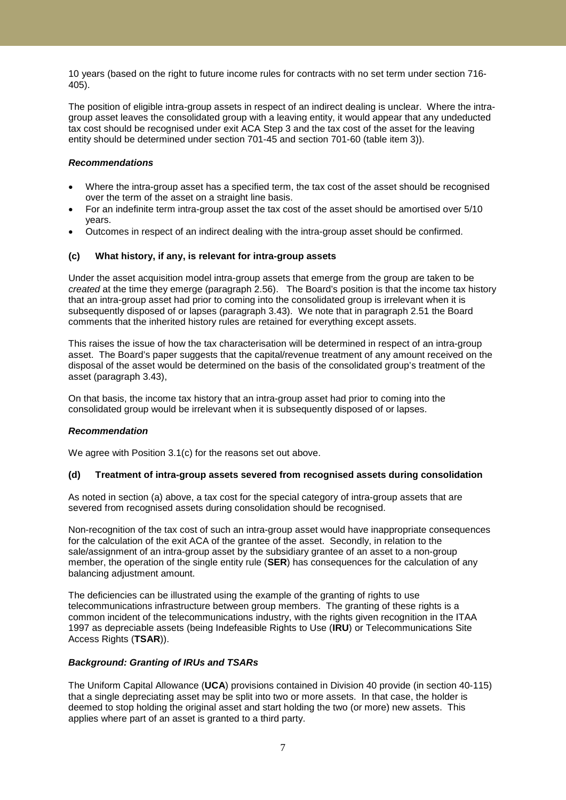10 years (based on the right to future income rules for contracts with no set term under section 716- 405).

The position of eligible intra-group assets in respect of an indirect dealing is unclear. Where the intragroup asset leaves the consolidated group with a leaving entity, it would appear that any undeducted tax cost should be recognised under exit ACA Step 3 and the tax cost of the asset for the leaving entity should be determined under section 701-45 and section 701-60 (table item 3)).

### *Recommendations*

- Where the intra-group asset has a specified term, the tax cost of the asset should be recognised over the term of the asset on a straight line basis.
- For an indefinite term intra-group asset the tax cost of the asset should be amortised over 5/10 years.
- Outcomes in respect of an indirect dealing with the intra-group asset should be confirmed.

## **(c) What history, if any, is relevant for intra-group assets**

Under the asset acquisition model intra-group assets that emerge from the group are taken to be *created* at the time they emerge (paragraph 2.56). The Board's position is that the income tax history that an intra-group asset had prior to coming into the consolidated group is irrelevant when it is subsequently disposed of or lapses (paragraph 3.43). We note that in paragraph 2.51 the Board comments that the inherited history rules are retained for everything except assets.

This raises the issue of how the tax characterisation will be determined in respect of an intra-group asset. The Board's paper suggests that the capital/revenue treatment of any amount received on the disposal of the asset would be determined on the basis of the consolidated group's treatment of the asset (paragraph 3.43),

On that basis, the income tax history that an intra-group asset had prior to coming into the consolidated group would be irrelevant when it is subsequently disposed of or lapses.

#### *Recommendation*

We agree with Position 3.1(c) for the reasons set out above.

#### **(d) Treatment of intra-group assets severed from recognised assets during consolidation**

As noted in section (a) above, a tax cost for the special category of intra-group assets that are severed from recognised assets during consolidation should be recognised.

Non-recognition of the tax cost of such an intra-group asset would have inappropriate consequences for the calculation of the exit ACA of the grantee of the asset. Secondly, in relation to the sale/assignment of an intra-group asset by the subsidiary grantee of an asset to a non-group member, the operation of the single entity rule (**SER**) has consequences for the calculation of any balancing adjustment amount.

The deficiencies can be illustrated using the example of the granting of rights to use telecommunications infrastructure between group members. The granting of these rights is a common incident of the telecommunications industry, with the rights given recognition in the ITAA 1997 as depreciable assets (being Indefeasible Rights to Use (**IRU**) or Telecommunications Site Access Rights (**TSAR**)).

### *Background: Granting of IRUs and TSARs*

The Uniform Capital Allowance (**UCA**) provisions contained in Division 40 provide (in section 40-115) that a single depreciating asset may be split into two or more assets. In that case, the holder is deemed to stop holding the original asset and start holding the two (or more) new assets. This applies where part of an asset is granted to a third party.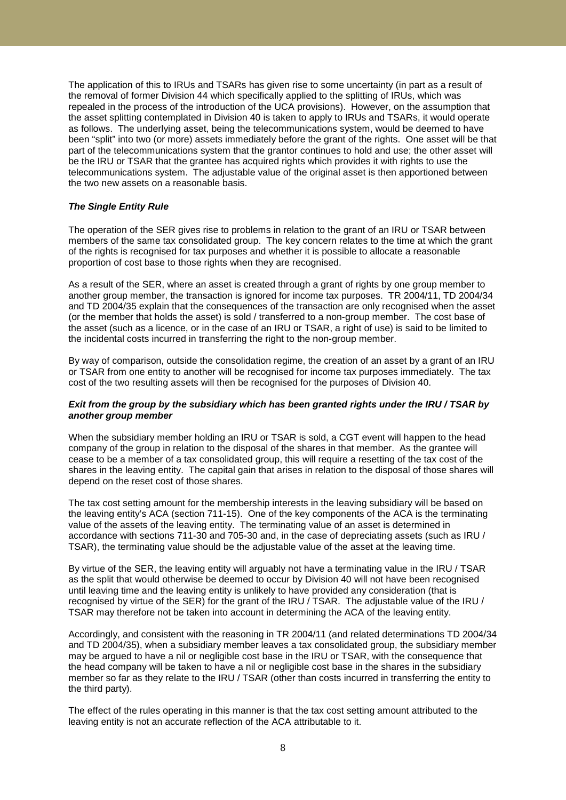The application of this to IRUs and TSARs has given rise to some uncertainty (in part as a result of the removal of former Division 44 which specifically applied to the splitting of IRUs, which was repealed in the process of the introduction of the UCA provisions). However, on the assumption that the asset splitting contemplated in Division 40 is taken to apply to IRUs and TSARs, it would operate as follows. The underlying asset, being the telecommunications system, would be deemed to have been "split" into two (or more) assets immediately before the grant of the rights. One asset will be that part of the telecommunications system that the grantor continues to hold and use; the other asset will be the IRU or TSAR that the grantee has acquired rights which provides it with rights to use the telecommunications system. The adjustable value of the original asset is then apportioned between the two new assets on a reasonable basis.

#### *The Single Entity Rule*

The operation of the SER gives rise to problems in relation to the grant of an IRU or TSAR between members of the same tax consolidated group. The key concern relates to the time at which the grant of the rights is recognised for tax purposes and whether it is possible to allocate a reasonable proportion of cost base to those rights when they are recognised.

As a result of the SER, where an asset is created through a grant of rights by one group member to another group member, the transaction is ignored for income tax purposes. TR 2004/11, TD 2004/34 and TD 2004/35 explain that the consequences of the transaction are only recognised when the asset (or the member that holds the asset) is sold / transferred to a non-group member. The cost base of the asset (such as a licence, or in the case of an IRU or TSAR, a right of use) is said to be limited to the incidental costs incurred in transferring the right to the non-group member.

By way of comparison, outside the consolidation regime, the creation of an asset by a grant of an IRU or TSAR from one entity to another will be recognised for income tax purposes immediately. The tax cost of the two resulting assets will then be recognised for the purposes of Division 40.

#### *Exit from the group by the subsidiary which has been granted rights under the IRU / TSAR by another group member*

When the subsidiary member holding an IRU or TSAR is sold, a CGT event will happen to the head company of the group in relation to the disposal of the shares in that member. As the grantee will cease to be a member of a tax consolidated group, this will require a resetting of the tax cost of the shares in the leaving entity. The capital gain that arises in relation to the disposal of those shares will depend on the reset cost of those shares.

The tax cost setting amount for the membership interests in the leaving subsidiary will be based on the leaving entity's ACA (section 711-15). One of the key components of the ACA is the terminating value of the assets of the leaving entity. The terminating value of an asset is determined in accordance with sections 711-30 and 705-30 and, in the case of depreciating assets (such as IRU / TSAR), the terminating value should be the adjustable value of the asset at the leaving time.

By virtue of the SER, the leaving entity will arguably not have a terminating value in the IRU / TSAR as the split that would otherwise be deemed to occur by Division 40 will not have been recognised until leaving time and the leaving entity is unlikely to have provided any consideration (that is recognised by virtue of the SER) for the grant of the IRU / TSAR. The adjustable value of the IRU / TSAR may therefore not be taken into account in determining the ACA of the leaving entity.

Accordingly, and consistent with the reasoning in TR 2004/11 (and related determinations TD 2004/34 and TD 2004/35), when a subsidiary member leaves a tax consolidated group, the subsidiary member may be argued to have a nil or negligible cost base in the IRU or TSAR, with the consequence that the head company will be taken to have a nil or negligible cost base in the shares in the subsidiary member so far as they relate to the IRU / TSAR (other than costs incurred in transferring the entity to the third party).

The effect of the rules operating in this manner is that the tax cost setting amount attributed to the leaving entity is not an accurate reflection of the ACA attributable to it.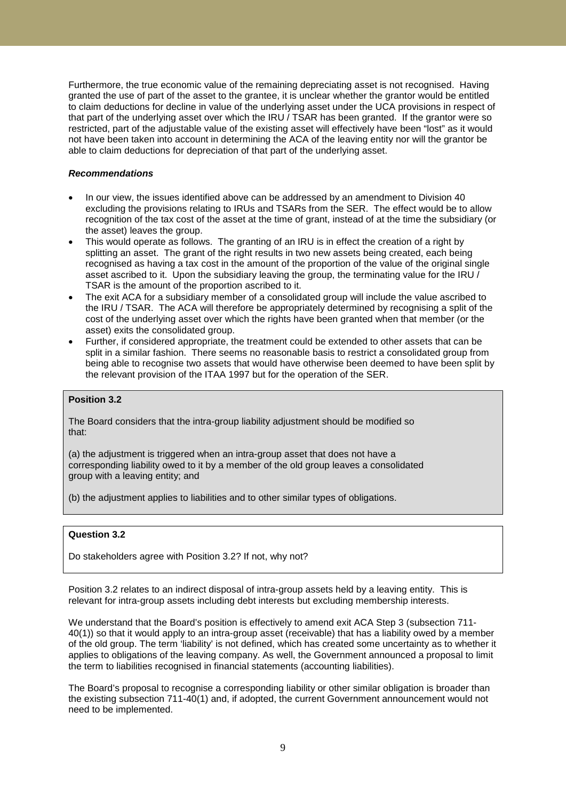Furthermore, the true economic value of the remaining depreciating asset is not recognised. Having granted the use of part of the asset to the grantee, it is unclear whether the grantor would be entitled to claim deductions for decline in value of the underlying asset under the UCA provisions in respect of that part of the underlying asset over which the IRU / TSAR has been granted. If the grantor were so restricted, part of the adjustable value of the existing asset will effectively have been "lost" as it would not have been taken into account in determining the ACA of the leaving entity nor will the grantor be able to claim deductions for depreciation of that part of the underlying asset.

### *Recommendations*

- In our view, the issues identified above can be addressed by an amendment to Division 40 excluding the provisions relating to IRUs and TSARs from the SER. The effect would be to allow recognition of the tax cost of the asset at the time of grant, instead of at the time the subsidiary (or the asset) leaves the group.
- This would operate as follows. The granting of an IRU is in effect the creation of a right by splitting an asset. The grant of the right results in two new assets being created, each being recognised as having a tax cost in the amount of the proportion of the value of the original single asset ascribed to it. Upon the subsidiary leaving the group, the terminating value for the IRU / TSAR is the amount of the proportion ascribed to it.
- The exit ACA for a subsidiary member of a consolidated group will include the value ascribed to the IRU / TSAR. The ACA will therefore be appropriately determined by recognising a split of the cost of the underlying asset over which the rights have been granted when that member (or the asset) exits the consolidated group.
- Further, if considered appropriate, the treatment could be extended to other assets that can be split in a similar fashion. There seems no reasonable basis to restrict a consolidated group from being able to recognise two assets that would have otherwise been deemed to have been split by the relevant provision of the ITAA 1997 but for the operation of the SER.

### **Position 3.2**

The Board considers that the intra-group liability adjustment should be modified so that:

(a) the adjustment is triggered when an intra-group asset that does not have a corresponding liability owed to it by a member of the old group leaves a consolidated group with a leaving entity; and

(b) the adjustment applies to liabilities and to other similar types of obligations.

### **Question 3.2**

Do stakeholders agree with Position 3.2? If not, why not?

Position 3.2 relates to an indirect disposal of intra-group assets held by a leaving entity. This is relevant for intra-group assets including debt interests but excluding membership interests.

We understand that the Board's position is effectively to amend exit ACA Step 3 (subsection 711- 40(1)) so that it would apply to an intra-group asset (receivable) that has a liability owed by a member of the old group. The term 'liability' is not defined, which has created some uncertainty as to whether it applies to obligations of the leaving company. As well, the Government announced a proposal to limit the term to liabilities recognised in financial statements (accounting liabilities).

The Board's proposal to recognise a corresponding liability or other similar obligation is broader than the existing subsection 711-40(1) and, if adopted, the current Government announcement would not need to be implemented.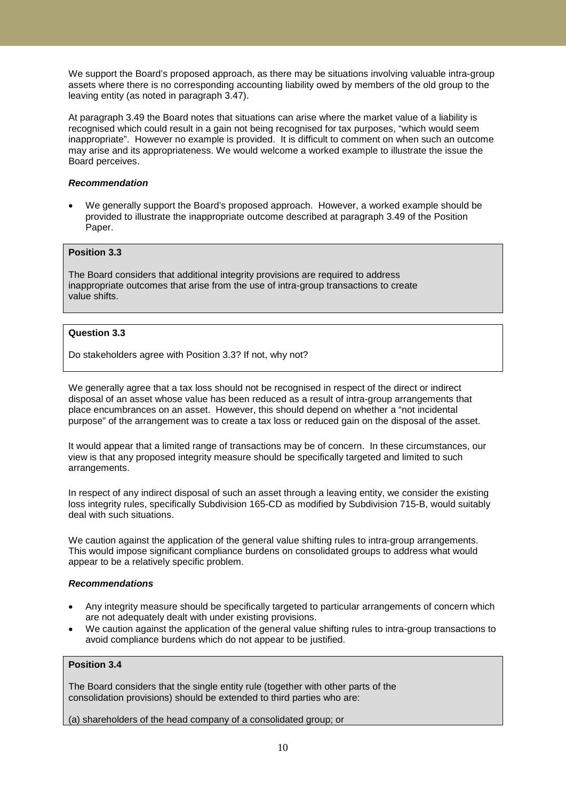We support the Board's proposed approach, as there may be situations involving valuable intra-group assets where there is no corresponding accounting liability owed by members of the old group to the leaving entity (as noted in paragraph 3.47).

At paragraph 3.49 the Board notes that situations can arise where the market value of a liability is recognised which could result in a gain not being recognised for tax purposes, "which would seem inappropriate". However no example is provided. It is difficult to comment on when such an outcome may arise and its appropriateness. We would welcome a worked example to illustrate the issue the Board perceives.

#### *Recommendation*

• We generally support the Board's proposed approach. However, a worked example should be provided to illustrate the inappropriate outcome described at paragraph 3.49 of the Position Paper.

## **Position 3.3**

The Board considers that additional integrity provisions are required to address inappropriate outcomes that arise from the use of intra-group transactions to create value shifts.

## **Question 3.3**

Do stakeholders agree with Position 3.3? If not, why not?

We generally agree that a tax loss should not be recognised in respect of the direct or indirect disposal of an asset whose value has been reduced as a result of intra-group arrangements that place encumbrances on an asset. However, this should depend on whether a "not incidental purpose" of the arrangement was to create a tax loss or reduced gain on the disposal of the asset.

It would appear that a limited range of transactions may be of concern. In these circumstances, our view is that any proposed integrity measure should be specifically targeted and limited to such arrangements.

In respect of any indirect disposal of such an asset through a leaving entity, we consider the existing loss integrity rules, specifically Subdivision 165-CD as modified by Subdivision 715-B, would suitably deal with such situations.

We caution against the application of the general value shifting rules to intra-group arrangements. This would impose significant compliance burdens on consolidated groups to address what would appear to be a relatively specific problem.

#### *Recommendations*

- Any integrity measure should be specifically targeted to particular arrangements of concern which are not adequately dealt with under existing provisions.
- We caution against the application of the general value shifting rules to intra-group transactions to avoid compliance burdens which do not appear to be justified.

## **Position 3.4**

The Board considers that the single entity rule (together with other parts of the consolidation provisions) should be extended to third parties who are:

(a) shareholders of the head company of a consolidated group; or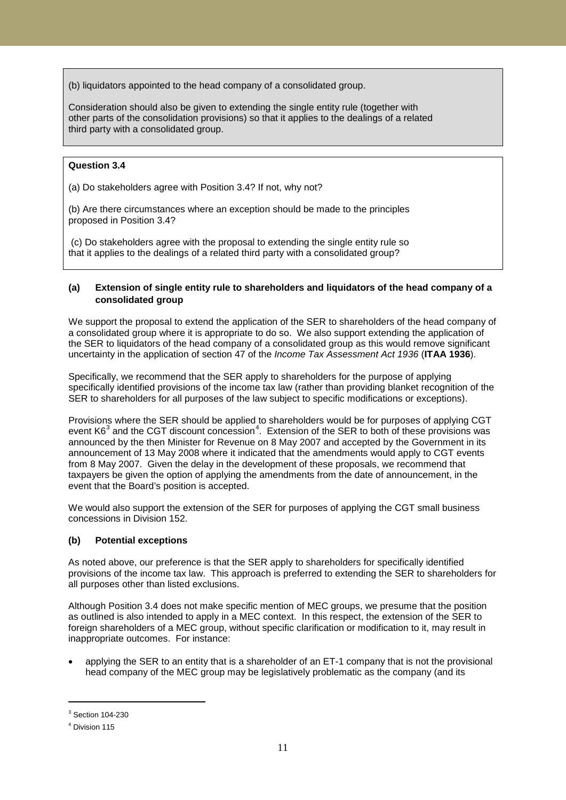(b) liquidators appointed to the head company of a consolidated group.

Consideration should also be given to extending the single entity rule (together with other parts of the consolidation provisions) so that it applies to the dealings of a related third party with a consolidated group.

## **Question 3.4**

(a) Do stakeholders agree with Position 3.4? If not, why not?

(b) Are there circumstances where an exception should be made to the principles proposed in Position 3.4?

(c) Do stakeholders agree with the proposal to extending the single entity rule so that it applies to the dealings of a related third party with a consolidated group?

## **(a) Extension of single entity rule to shareholders and liquidators of the head company of a consolidated group**

We support the proposal to extend the application of the SER to shareholders of the head company of a consolidated group where it is appropriate to do so. We also support extending the application of the SER to liquidators of the head company of a consolidated group as this would remove significant uncertainty in the application of section 47 of the *Income Tax Assessment Act 1936* (**ITAA 1936**).

Specifically, we recommend that the SER apply to shareholders for the purpose of applying specifically identified provisions of the income tax law (rather than providing blanket recognition of the SER to shareholders for all purposes of the law subject to specific modifications or exceptions).

Provisions where the SER should be applied to shareholders would be for purposes of applying CGT event K6 $^3$  $^3$  and the CGT discount concession<sup>[4](#page-10-1)</sup>. Extension of the SER to both of these provisions was announced by the then Minister for Revenue on 8 May 2007 and accepted by the Government in its announcement of 13 May 2008 where it indicated that the amendments would apply to CGT events from 8 May 2007. Given the delay in the development of these proposals, we recommend that taxpayers be given the option of applying the amendments from the date of announcement, in the event that the Board's position is accepted.

We would also support the extension of the SER for purposes of applying the CGT small business concessions in Division 152.

## **(b) Potential exceptions**

As noted above, our preference is that the SER apply to shareholders for specifically identified provisions of the income tax law. This approach is preferred to extending the SER to shareholders for all purposes other than listed exclusions.

Although Position 3.4 does not make specific mention of MEC groups, we presume that the position as outlined is also intended to apply in a MEC context. In this respect, the extension of the SER to foreign shareholders of a MEC group, without specific clarification or modification to it, may result in inappropriate outcomes. For instance:

• applying the SER to an entity that is a shareholder of an ET-1 company that is not the provisional head company of the MEC group may be legislatively problematic as the company (and its

-

<span id="page-10-0"></span><sup>3</sup> Section 104-230

<span id="page-10-1"></span><sup>4</sup> Division 115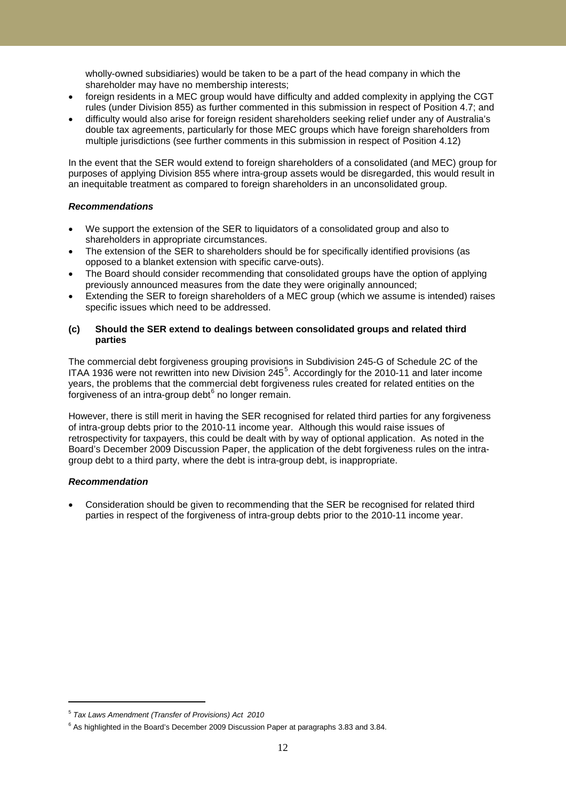wholly-owned subsidiaries) would be taken to be a part of the head company in which the shareholder may have no membership interests;

- foreign residents in a MEC group would have difficulty and added complexity in applying the CGT rules (under Division 855) as further commented in this submission in respect of Position 4.7; and
- difficulty would also arise for foreign resident shareholders seeking relief under any of Australia's double tax agreements, particularly for those MEC groups which have foreign shareholders from multiple jurisdictions (see further comments in this submission in respect of Position 4.12)

In the event that the SER would extend to foreign shareholders of a consolidated (and MEC) group for purposes of applying Division 855 where intra-group assets would be disregarded, this would result in an inequitable treatment as compared to foreign shareholders in an unconsolidated group.

### *Recommendations*

- We support the extension of the SER to liquidators of a consolidated group and also to shareholders in appropriate circumstances.
- The extension of the SER to shareholders should be for specifically identified provisions (as opposed to a blanket extension with specific carve-outs).
- The Board should consider recommending that consolidated groups have the option of applying previously announced measures from the date they were originally announced;
- Extending the SER to foreign shareholders of a MEC group (which we assume is intended) raises specific issues which need to be addressed.

### **(c) Should the SER extend to dealings between consolidated groups and related third parties**

The commercial debt forgiveness grouping provisions in Subdivision 245-G of Schedule 2C of the ITAA 1936 were not rewritten into new Division 24[5](#page-11-0)<sup>5</sup>. Accordingly for the 2010-11 and later income years, the problems that the commercial debt forgiveness rules created for related entities on the forgiveness of an intra-group debt $6$  no longer remain.

However, there is still merit in having the SER recognised for related third parties for any forgiveness of intra-group debts prior to the 2010-11 income year. Although this would raise issues of retrospectivity for taxpayers, this could be dealt with by way of optional application. As noted in the Board's December 2009 Discussion Paper, the application of the debt forgiveness rules on the intragroup debt to a third party, where the debt is intra-group debt, is inappropriate.

## *Recommendation*

-

• Consideration should be given to recommending that the SER be recognised for related third parties in respect of the forgiveness of intra-group debts prior to the 2010-11 income year.

<span id="page-11-0"></span><sup>5</sup> *Tax Laws Amendment (Transfer of Provisions) Act 2010*

<span id="page-11-1"></span> $6$  As highlighted in the Board's December 2009 Discussion Paper at paragraphs 3.83 and 3.84.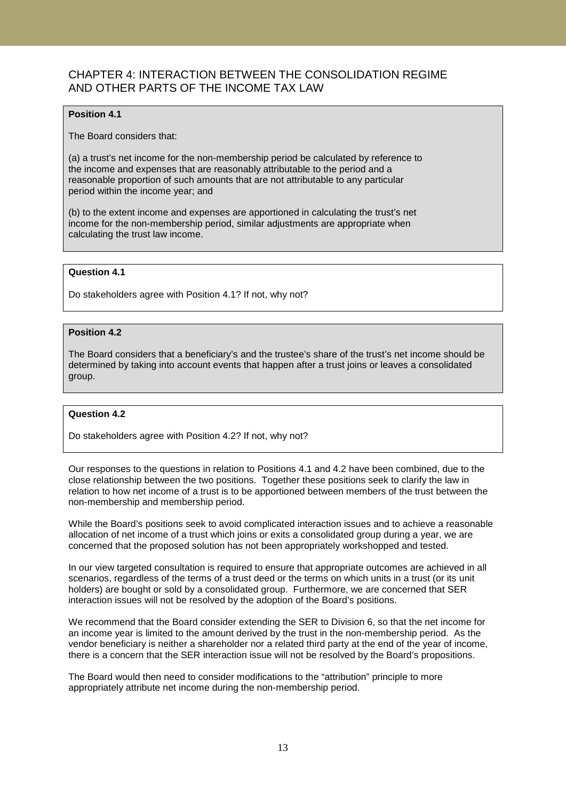# CHAPTER 4: INTERACTION BETWEEN THE CONSOLIDATION REGIME AND OTHER PARTS OF THE INCOME TAX LAW

## **Position 4.1**

The Board considers that:

(a) a trust's net income for the non-membership period be calculated by reference to the income and expenses that are reasonably attributable to the period and a reasonable proportion of such amounts that are not attributable to any particular period within the income year; and

(b) to the extent income and expenses are apportioned in calculating the trust's net income for the non-membership period, similar adjustments are appropriate when calculating the trust law income.

### **Question 4.1**

Do stakeholders agree with Position 4.1? If not, why not?

## **Position 4.2**

The Board considers that a beneficiary's and the trustee's share of the trust's net income should be determined by taking into account events that happen after a trust joins or leaves a consolidated group.

#### **Question 4.2**

Do stakeholders agree with Position 4.2? If not, why not?

Our responses to the questions in relation to Positions 4.1 and 4.2 have been combined, due to the close relationship between the two positions. Together these positions seek to clarify the law in relation to how net income of a trust is to be apportioned between members of the trust between the non-membership and membership period.

While the Board's positions seek to avoid complicated interaction issues and to achieve a reasonable allocation of net income of a trust which joins or exits a consolidated group during a year, we are concerned that the proposed solution has not been appropriately workshopped and tested.

In our view targeted consultation is required to ensure that appropriate outcomes are achieved in all scenarios, regardless of the terms of a trust deed or the terms on which units in a trust (or its unit holders) are bought or sold by a consolidated group. Furthermore, we are concerned that SER interaction issues will not be resolved by the adoption of the Board's positions.

We recommend that the Board consider extending the SER to Division 6, so that the net income for an income year is limited to the amount derived by the trust in the non-membership period. As the vendor beneficiary is neither a shareholder nor a related third party at the end of the year of income, there is a concern that the SER interaction issue will not be resolved by the Board's propositions.

The Board would then need to consider modifications to the "attribution" principle to more appropriately attribute net income during the non-membership period.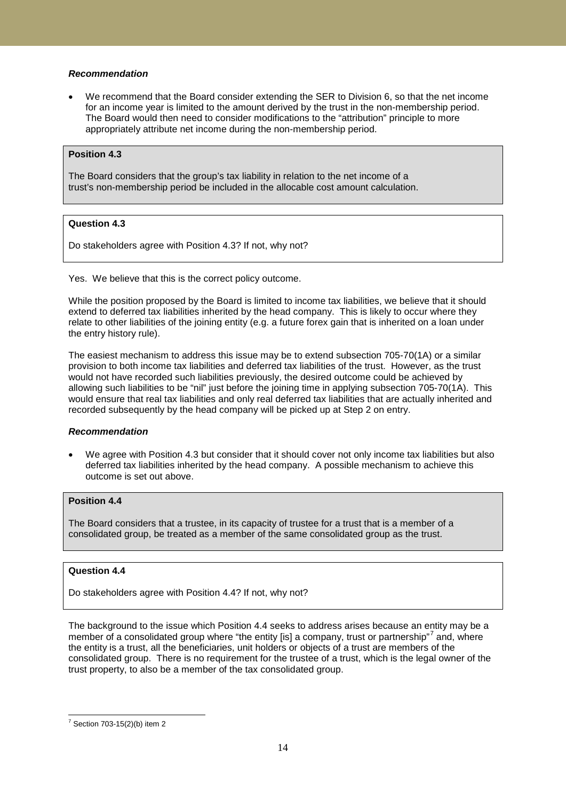### *Recommendation*

• We recommend that the Board consider extending the SER to Division 6, so that the net income for an income year is limited to the amount derived by the trust in the non-membership period. The Board would then need to consider modifications to the "attribution" principle to more appropriately attribute net income during the non-membership period.

### **Position 4.3**

The Board considers that the group's tax liability in relation to the net income of a trust's non-membership period be included in the allocable cost amount calculation.

## **Question 4.3**

Do stakeholders agree with Position 4.3? If not, why not?

Yes. We believe that this is the correct policy outcome.

While the position proposed by the Board is limited to income tax liabilities, we believe that it should extend to deferred tax liabilities inherited by the head company. This is likely to occur where they relate to other liabilities of the joining entity (e.g. a future forex gain that is inherited on a loan under the entry history rule).

The easiest mechanism to address this issue may be to extend subsection 705-70(1A) or a similar provision to both income tax liabilities and deferred tax liabilities of the trust. However, as the trust would not have recorded such liabilities previously, the desired outcome could be achieved by allowing such liabilities to be "nil" just before the joining time in applying subsection 705-70(1A). This would ensure that real tax liabilities and only real deferred tax liabilities that are actually inherited and recorded subsequently by the head company will be picked up at Step 2 on entry.

#### *Recommendation*

• We agree with Position 4.3 but consider that it should cover not only income tax liabilities but also deferred tax liabilities inherited by the head company. A possible mechanism to achieve this outcome is set out above.

## **Position 4.4**

The Board considers that a trustee, in its capacity of trustee for a trust that is a member of a consolidated group, be treated as a member of the same consolidated group as the trust.

#### **Question 4.4**

Do stakeholders agree with Position 4.4? If not, why not?

The background to the issue which Position 4.4 seeks to address arises because an entity may be a member of a consolidated group where "the entity [is] a company, trust or partnership" $\prime$  and, where the entity is a trust, all the beneficiaries, unit holders or objects of a trust are members of the consolidated group. There is no requirement for the trustee of a trust, which is the legal owner of the trust property, to also be a member of the tax consolidated group.

<span id="page-13-0"></span> $7$  Section 703-15(2)(b) item 2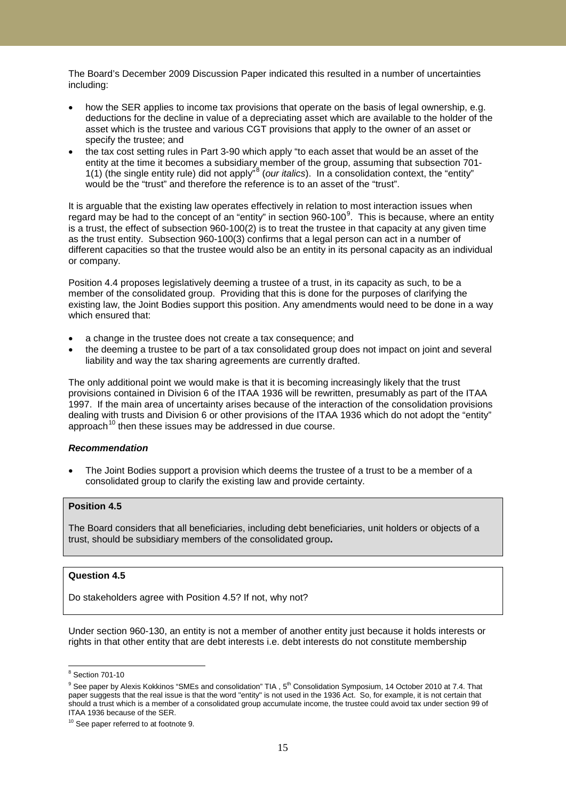The Board's December 2009 Discussion Paper indicated this resulted in a number of uncertainties including:

- how the SER applies to income tax provisions that operate on the basis of legal ownership, e.g. deductions for the decline in value of a depreciating asset which are available to the holder of the asset which is the trustee and various CGT provisions that apply to the owner of an asset or specify the trustee; and
- the tax cost setting rules in Part 3-90 which apply "to each asset that would be an asset of the entity at the time it becomes a subsidiary member of the group, assuming that subsection 701- 1(1) (the single entity rule) did not apply"[8](#page-14-0) (*our italics*). In a consolidation context, the "entity" would be the "trust" and therefore the reference is to an asset of the "trust".

It is arguable that the existing law operates effectively in relation to most interaction issues when regard may be had to the concept of an "entity" in section [9](#page-14-1)60-100<sup>9</sup>. This is because, where an entity is a trust, the effect of subsection 960-100(2) is to treat the trustee in that capacity at any given time as the trust entity. Subsection 960-100(3) confirms that a legal person can act in a number of different capacities so that the trustee would also be an entity in its personal capacity as an individual or company.

Position 4.4 proposes legislatively deeming a trustee of a trust, in its capacity as such, to be a member of the consolidated group. Providing that this is done for the purposes of clarifying the existing law, the Joint Bodies support this position. Any amendments would need to be done in a way which ensured that:

- a change in the trustee does not create a tax consequence; and
- the deeming a trustee to be part of a tax consolidated group does not impact on joint and several liability and way the tax sharing agreements are currently drafted.

The only additional point we would make is that it is becoming increasingly likely that the trust provisions contained in Division 6 of the ITAA 1936 will be rewritten, presumably as part of the ITAA 1997. If the main area of uncertainty arises because of the interaction of the consolidation provisions dealing with trusts and Division 6 or other provisions of the ITAA 1936 which do not adopt the "entity" approach $10$  then these issues may be addressed in due course.

## *Recommendation*

The Joint Bodies support a provision which deems the trustee of a trust to be a member of a consolidated group to clarify the existing law and provide certainty.

### **Position 4.5**

The Board considers that all beneficiaries, including debt beneficiaries, unit holders or objects of a trust, should be subsidiary members of the consolidated group**.**

## **Question 4.5**

Do stakeholders agree with Position 4.5? If not, why not?

Under section 960-130, an entity is not a member of another entity just because it holds interests or rights in that other entity that are debt interests i.e. debt interests do not constitute membership

<span id="page-14-0"></span><sup>8</sup> Section 701-10

<span id="page-14-1"></span> $9$  See paper by Alexis Kokkinos "SMEs and consolidation" TIA ,  $5<sup>th</sup>$  Consolidation Symposium, 14 October 2010 at 7.4. That paper suggests that the real issue is that the word "entity" is not used in the 1936 Act. So, for example, it is not certain that should a trust which is a member of a consolidated group accumulate income, the trustee could avoid tax under section 99 of ITAA 1936 because of the SER.

<span id="page-14-2"></span><sup>&</sup>lt;sup>10</sup> See paper referred to at footnote 9.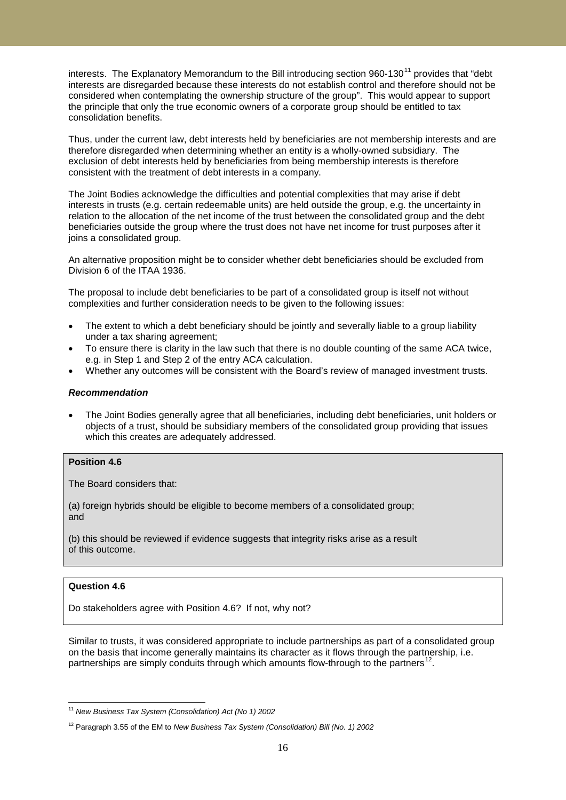interests. The Explanatory Memorandum to the Bill introducing section 960-130 $^{11}$  $^{11}$  $^{11}$  provides that "debt interests are disregarded because these interests do not establish control and therefore should not be considered when contemplating the ownership structure of the group". This would appear to support the principle that only the true economic owners of a corporate group should be entitled to tax consolidation benefits.

Thus, under the current law, debt interests held by beneficiaries are not membership interests and are therefore disregarded when determining whether an entity is a wholly-owned subsidiary. The exclusion of debt interests held by beneficiaries from being membership interests is therefore consistent with the treatment of debt interests in a company.

The Joint Bodies acknowledge the difficulties and potential complexities that may arise if debt interests in trusts (e.g. certain redeemable units) are held outside the group, e.g. the uncertainty in relation to the allocation of the net income of the trust between the consolidated group and the debt beneficiaries outside the group where the trust does not have net income for trust purposes after it joins a consolidated group.

An alternative proposition might be to consider whether debt beneficiaries should be excluded from Division 6 of the ITAA 1936.

The proposal to include debt beneficiaries to be part of a consolidated group is itself not without complexities and further consideration needs to be given to the following issues:

- The extent to which a debt beneficiary should be jointly and severally liable to a group liability under a tax sharing agreement;
- To ensure there is clarity in the law such that there is no double counting of the same ACA twice, e.g. in Step 1 and Step 2 of the entry ACA calculation.
- Whether any outcomes will be consistent with the Board's review of managed investment trusts.

### *Recommendation*

• The Joint Bodies generally agree that all beneficiaries, including debt beneficiaries, unit holders or objects of a trust, should be subsidiary members of the consolidated group providing that issues which this creates are adequately addressed.

### **Position 4.6**

The Board considers that:

(a) foreign hybrids should be eligible to become members of a consolidated group; and

(b) this should be reviewed if evidence suggests that integrity risks arise as a result of this outcome.

#### **Question 4.6**

Do stakeholders agree with Position 4.6? If not, why not?

Similar to trusts, it was considered appropriate to include partnerships as part of a consolidated group on the basis that income generally maintains its character as it flows through the partnership, i.e. partnerships are simply conduits through which amounts flow-through to the partners $^{12}$  $^{12}$  $^{12}$ .

<span id="page-15-0"></span><sup>11</sup> *New Business Tax System (Consolidation) Act (No 1) 2002*

<span id="page-15-1"></span><sup>12</sup> Paragraph 3.55 of the EM to *New Business Tax System (Consolidation) Bill (No. 1) 2002*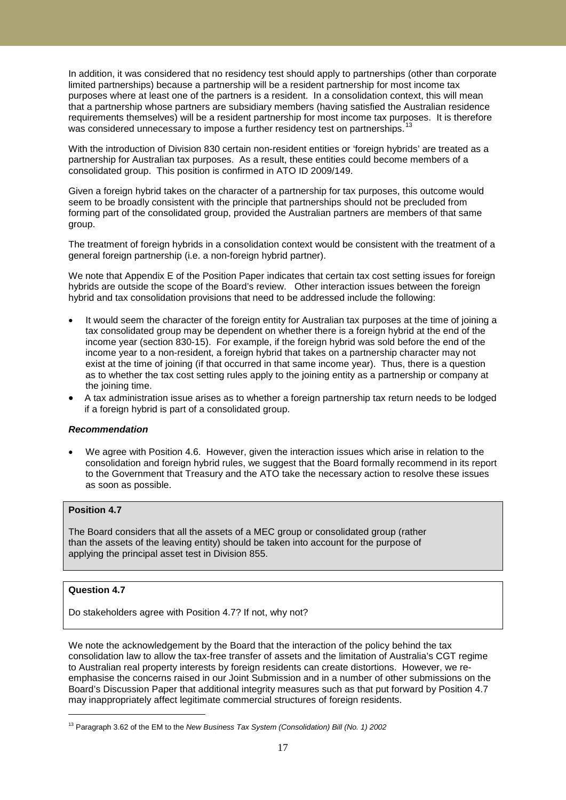In addition, it was considered that no residency test should apply to partnerships (other than corporate limited partnerships) because a partnership will be a resident partnership for most income tax purposes where at least one of the partners is a resident. In a consolidation context, this will mean that a partnership whose partners are subsidiary members (having satisfied the Australian residence requirements themselves) will be a resident partnership for most income tax purposes. It is therefore was considered unnecessary to impose a further residency test on partnerships.

With the introduction of Division 830 certain non-resident entities or 'foreign hybrids' are treated as a partnership for Australian tax purposes. As a result, these entities could become members of a consolidated group. This position is confirmed in ATO ID 2009/149.

Given a foreign hybrid takes on the character of a partnership for tax purposes, this outcome would seem to be broadly consistent with the principle that partnerships should not be precluded from forming part of the consolidated group, provided the Australian partners are members of that same group.

The treatment of foreign hybrids in a consolidation context would be consistent with the treatment of a general foreign partnership (i.e. a non-foreign hybrid partner).

We note that Appendix E of the Position Paper indicates that certain tax cost setting issues for foreign hybrids are outside the scope of the Board's review. Other interaction issues between the foreign hybrid and tax consolidation provisions that need to be addressed include the following:

- It would seem the character of the foreign entity for Australian tax purposes at the time of joining a tax consolidated group may be dependent on whether there is a foreign hybrid at the end of the income year (section 830-15). For example, if the foreign hybrid was sold before the end of the income year to a non-resident, a foreign hybrid that takes on a partnership character may not exist at the time of joining (if that occurred in that same income year). Thus, there is a question as to whether the tax cost setting rules apply to the joining entity as a partnership or company at the joining time.
- A tax administration issue arises as to whether a foreign partnership tax return needs to be lodged if a foreign hybrid is part of a consolidated group.

#### *Recommendation*

• We agree with Position 4.6. However, given the interaction issues which arise in relation to the consolidation and foreign hybrid rules, we suggest that the Board formally recommend in its report to the Government that Treasury and the ATO take the necessary action to resolve these issues as soon as possible.

## **Position 4.7**

The Board considers that all the assets of a MEC group or consolidated group (rather than the assets of the leaving entity) should be taken into account for the purpose of applying the principal asset test in Division 855.

## **Question 4.7**

<u>.</u>

Do stakeholders agree with Position 4.7? If not, why not?

We note the acknowledgement by the Board that the interaction of the policy behind the tax consolidation law to allow the tax-free transfer of assets and the limitation of Australia's CGT regime to Australian real property interests by foreign residents can create distortions. However, we reemphasise the concerns raised in our Joint Submission and in a number of other submissions on the Board's Discussion Paper that additional integrity measures such as that put forward by Position 4.7 may inappropriately affect legitimate commercial structures of foreign residents.

<span id="page-16-0"></span><sup>13</sup> Paragraph 3.62 of the EM to the *New Business Tax System (Consolidation) Bill (No. 1) 2002*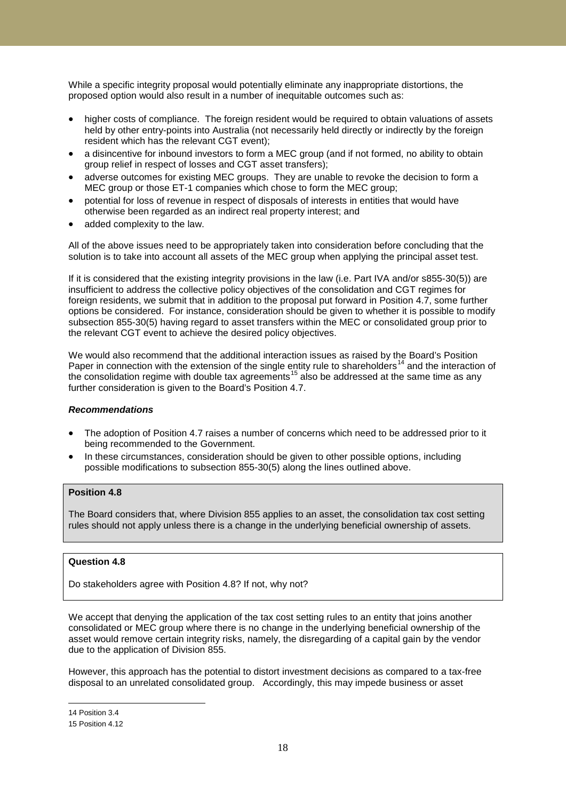While a specific integrity proposal would potentially eliminate any inappropriate distortions, the proposed option would also result in a number of inequitable outcomes such as:

- higher costs of compliance. The foreign resident would be required to obtain valuations of assets held by other entry-points into Australia (not necessarily held directly or indirectly by the foreign resident which has the relevant CGT event);
- a disincentive for inbound investors to form a MEC group (and if not formed, no ability to obtain group relief in respect of losses and CGT asset transfers);
- adverse outcomes for existing MEC groups. They are unable to revoke the decision to form a MEC group or those ET-1 companies which chose to form the MEC group;
- potential for loss of revenue in respect of disposals of interests in entities that would have otherwise been regarded as an indirect real property interest; and
- added complexity to the law.

All of the above issues need to be appropriately taken into consideration before concluding that the solution is to take into account all assets of the MEC group when applying the principal asset test.

If it is considered that the existing integrity provisions in the law (i.e. Part IVA and/or s855-30(5)) are insufficient to address the collective policy objectives of the consolidation and CGT regimes for foreign residents, we submit that in addition to the proposal put forward in Position 4.7, some further options be considered. For instance, consideration should be given to whether it is possible to modify subsection 855-30(5) having regard to asset transfers within the MEC or consolidated group prior to the relevant CGT event to achieve the desired policy objectives.

We would also recommend that the additional interaction issues as raised by the Board's Position Paper in connection with the extension of the single entity rule to shareholders<sup>[14](#page-17-0)</sup> and the interaction of the consolidation regime with double tax agreements<sup>[15](#page-17-1)</sup> also be addressed at the same time as any further consideration is given to the Board's Position 4.7.

#### *Recommendations*

- The adoption of Position 4.7 raises a number of concerns which need to be addressed prior to it being recommended to the Government.
- In these circumstances, consideration should be given to other possible options, including possible modifications to subsection 855-30(5) along the lines outlined above.

## **Position 4.8**

The Board considers that, where Division 855 applies to an asset, the consolidation tax cost setting rules should not apply unless there is a change in the underlying beneficial ownership of assets.

## **Question 4.8**

Do stakeholders agree with Position 4.8? If not, why not?

We accept that denying the application of the tax cost setting rules to an entity that joins another consolidated or MEC group where there is no change in the underlying beneficial ownership of the asset would remove certain integrity risks, namely, the disregarding of a capital gain by the vendor due to the application of Division 855.

However, this approach has the potential to distort investment decisions as compared to a tax-free disposal to an unrelated consolidated group. Accordingly, this may impede business or asset

<sup>&</sup>lt;u>.</u> 14 Position 3.4

<span id="page-17-1"></span><span id="page-17-0"></span><sup>15</sup> Position 4.12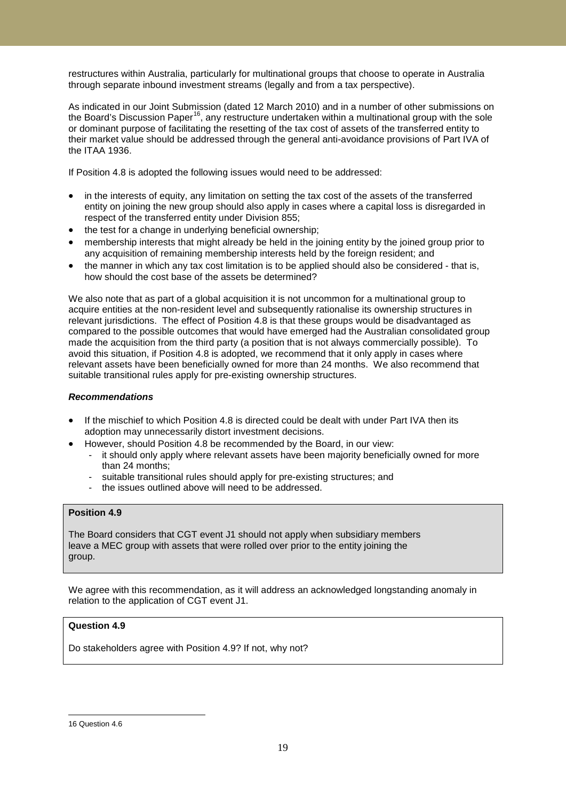restructures within Australia, particularly for multinational groups that choose to operate in Australia through separate inbound investment streams (legally and from a tax perspective).

As indicated in our Joint Submission (dated 12 March 2010) and in a number of other submissions on the Board's Discussion Paper<sup>16</sup>, any restructure undertaken within a multinational group with the sole or dominant purpose of facilitating the resetting of the tax cost of assets of the transferred entity to their market value should be addressed through the general anti-avoidance provisions of Part IVA of the ITAA 1936.

If Position 4.8 is adopted the following issues would need to be addressed:

- in the interests of equity, any limitation on setting the tax cost of the assets of the transferred entity on joining the new group should also apply in cases where a capital loss is disregarded in respect of the transferred entity under Division 855;
- the test for a change in underlying beneficial ownership;
- membership interests that might already be held in the joining entity by the joined group prior to any acquisition of remaining membership interests held by the foreign resident; and
- the manner in which any tax cost limitation is to be applied should also be considered that is, how should the cost base of the assets be determined?

We also note that as part of a global acquisition it is not uncommon for a multinational group to acquire entities at the non-resident level and subsequently rationalise its ownership structures in relevant jurisdictions. The effect of Position 4.8 is that these groups would be disadvantaged as compared to the possible outcomes that would have emerged had the Australian consolidated group made the acquisition from the third party (a position that is not always commercially possible). To avoid this situation, if Position 4.8 is adopted, we recommend that it only apply in cases where relevant assets have been beneficially owned for more than 24 months. We also recommend that suitable transitional rules apply for pre-existing ownership structures.

### *Recommendations*

- If the mischief to which Position 4.8 is directed could be dealt with under Part IVA then its adoption may unnecessarily distort investment decisions.
	- However, should Position 4.8 be recommended by the Board, in our view:
		- it should only apply where relevant assets have been majority beneficially owned for more than 24 months;
		- suitable transitional rules should apply for pre-existing structures; and
		- the issues outlined above will need to be addressed.

## **Position 4.9**

The Board considers that CGT event J1 should not apply when subsidiary members leave a MEC group with assets that were rolled over prior to the entity joining the group.

We agree with this recommendation, as it will address an acknowledged longstanding anomaly in relation to the application of CGT event J1.

## **Question 4.9**

Do stakeholders agree with Position 4.9? If not, why not?

-

<span id="page-18-0"></span><sup>16</sup> Question 4.6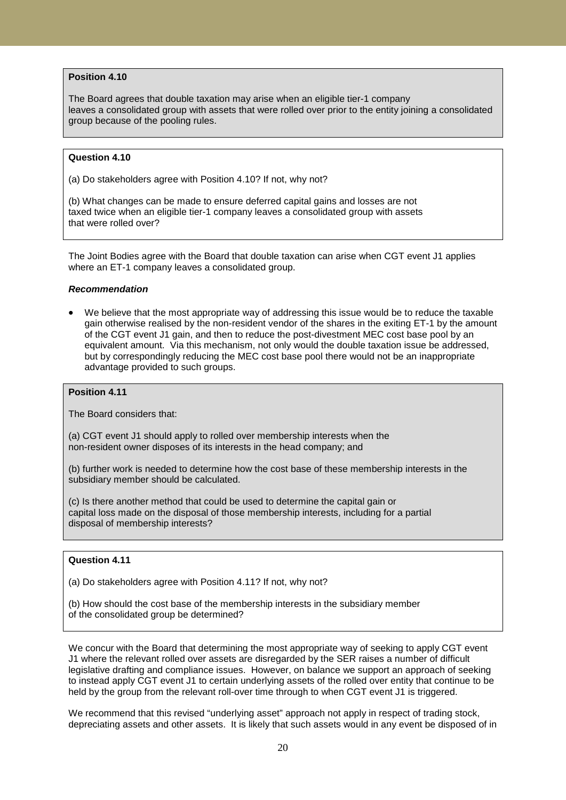## **Position 4.10**

The Board agrees that double taxation may arise when an eligible tier-1 company leaves a consolidated group with assets that were rolled over prior to the entity joining a consolidated group because of the pooling rules.

### **Question 4.10**

(a) Do stakeholders agree with Position 4.10? If not, why not?

(b) What changes can be made to ensure deferred capital gains and losses are not taxed twice when an eligible tier-1 company leaves a consolidated group with assets that were rolled over?

The Joint Bodies agree with the Board that double taxation can arise when CGT event J1 applies where an ET-1 company leaves a consolidated group.

### *Recommendation*

• We believe that the most appropriate way of addressing this issue would be to reduce the taxable gain otherwise realised by the non-resident vendor of the shares in the exiting ET-1 by the amount of the CGT event J1 gain, and then to reduce the post-divestment MEC cost base pool by an equivalent amount. Via this mechanism, not only would the double taxation issue be addressed, but by correspondingly reducing the MEC cost base pool there would not be an inappropriate advantage provided to such groups.

#### **Position 4.11**

The Board considers that:

(a) CGT event J1 should apply to rolled over membership interests when the non-resident owner disposes of its interests in the head company; and

(b) further work is needed to determine how the cost base of these membership interests in the subsidiary member should be calculated.

(c) Is there another method that could be used to determine the capital gain or capital loss made on the disposal of those membership interests, including for a partial disposal of membership interests?

## **Question 4.11**

(a) Do stakeholders agree with Position 4.11? If not, why not?

(b) How should the cost base of the membership interests in the subsidiary member of the consolidated group be determined?

We concur with the Board that determining the most appropriate way of seeking to apply CGT event J1 where the relevant rolled over assets are disregarded by the SER raises a number of difficult legislative drafting and compliance issues. However, on balance we support an approach of seeking to instead apply CGT event J1 to certain underlying assets of the rolled over entity that continue to be held by the group from the relevant roll-over time through to when CGT event J1 is triggered.

We recommend that this revised "underlying asset" approach not apply in respect of trading stock, depreciating assets and other assets. It is likely that such assets would in any event be disposed of in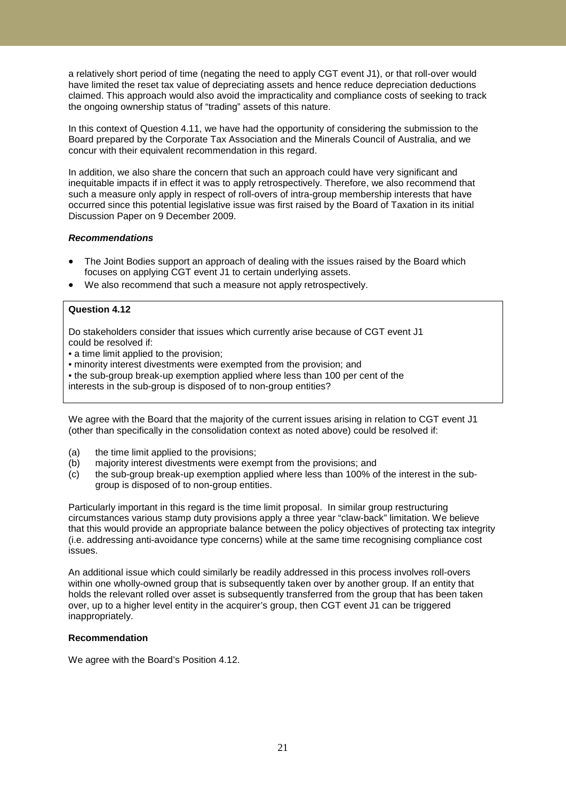a relatively short period of time (negating the need to apply CGT event J1), or that roll-over would have limited the reset tax value of depreciating assets and hence reduce depreciation deductions claimed. This approach would also avoid the impracticality and compliance costs of seeking to track the ongoing ownership status of "trading" assets of this nature.

In this context of Question 4.11, we have had the opportunity of considering the submission to the Board prepared by the Corporate Tax Association and the Minerals Council of Australia, and we concur with their equivalent recommendation in this regard.

In addition, we also share the concern that such an approach could have very significant and inequitable impacts if in effect it was to apply retrospectively. Therefore, we also recommend that such a measure only apply in respect of roll-overs of intra-group membership interests that have occurred since this potential legislative issue was first raised by the Board of Taxation in its initial Discussion Paper on 9 December 2009.

#### *Recommendations*

- The Joint Bodies support an approach of dealing with the issues raised by the Board which focuses on applying CGT event J1 to certain underlying assets.
- We also recommend that such a measure not apply retrospectively.

### **Question 4.12**

Do stakeholders consider that issues which currently arise because of CGT event J1 could be resolved if:

- a time limit applied to the provision;
- minority interest divestments were exempted from the provision; and
- the sub-group break-up exemption applied where less than 100 per cent of the

interests in the sub-group is disposed of to non-group entities?

We agree with the Board that the majority of the current issues arising in relation to CGT event J1 (other than specifically in the consolidation context as noted above) could be resolved if:

- (a) the time limit applied to the provisions;
- (b) majority interest divestments were exempt from the provisions; and
- (c) the sub-group break-up exemption applied where less than 100% of the interest in the subgroup is disposed of to non-group entities.

Particularly important in this regard is the time limit proposal. In similar group restructuring circumstances various stamp duty provisions apply a three year "claw-back" limitation. We believe that this would provide an appropriate balance between the policy objectives of protecting tax integrity (i.e. addressing anti-avoidance type concerns) while at the same time recognising compliance cost issues.

An additional issue which could similarly be readily addressed in this process involves roll-overs within one wholly-owned group that is subsequently taken over by another group. If an entity that holds the relevant rolled over asset is subsequently transferred from the group that has been taken over, up to a higher level entity in the acquirer's group, then CGT event J1 can be triggered inappropriately.

#### **Recommendation**

We agree with the Board's Position 4.12.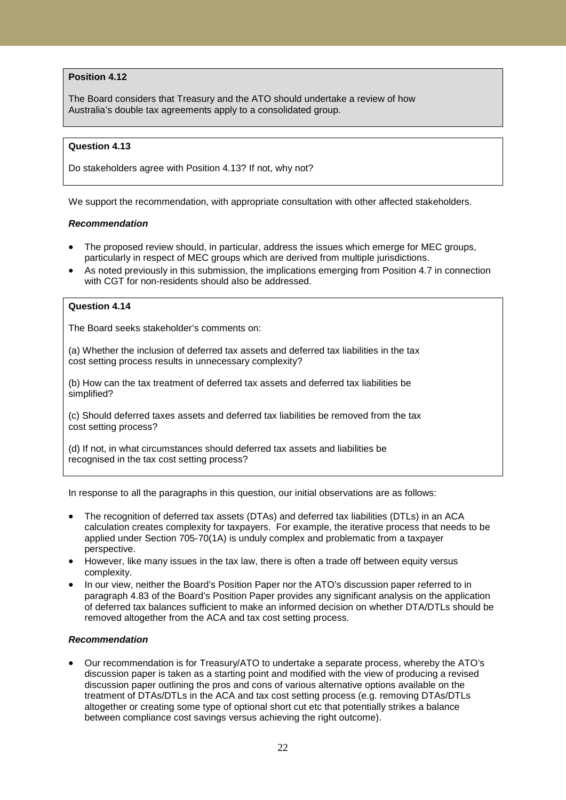## **Position 4.12**

The Board considers that Treasury and the ATO should undertake a review of how Australia's double tax agreements apply to a consolidated group.

### **Question 4.13**

Do stakeholders agree with Position 4.13? If not, why not?

We support the recommendation, with appropriate consultation with other affected stakeholders.

### *Recommendation*

- The proposed review should, in particular, address the issues which emerge for MEC groups, particularly in respect of MEC groups which are derived from multiple jurisdictions.
- As noted previously in this submission, the implications emerging from Position 4.7 in connection with CGT for non-residents should also be addressed.

## **Question 4.14**

The Board seeks stakeholder's comments on:

(a) Whether the inclusion of deferred tax assets and deferred tax liabilities in the tax cost setting process results in unnecessary complexity?

(b) How can the tax treatment of deferred tax assets and deferred tax liabilities be simplified?

(c) Should deferred taxes assets and deferred tax liabilities be removed from the tax cost setting process?

(d) If not, in what circumstances should deferred tax assets and liabilities be recognised in the tax cost setting process?

In response to all the paragraphs in this question, our initial observations are as follows:

- The recognition of deferred tax assets (DTAs) and deferred tax liabilities (DTLs) in an ACA calculation creates complexity for taxpayers. For example, the iterative process that needs to be applied under Section 705-70(1A) is unduly complex and problematic from a taxpayer perspective.
- However, like many issues in the tax law, there is often a trade off between equity versus complexity.
- In our view, neither the Board's Position Paper nor the ATO's discussion paper referred to in paragraph 4.83 of the Board's Position Paper provides any significant analysis on the application of deferred tax balances sufficient to make an informed decision on whether DTA/DTLs should be removed altogether from the ACA and tax cost setting process.

#### *Recommendation*

• Our recommendation is for Treasury/ATO to undertake a separate process, whereby the ATO's discussion paper is taken as a starting point and modified with the view of producing a revised discussion paper outlining the pros and cons of various alternative options available on the treatment of DTAs/DTLs in the ACA and tax cost setting process (e.g. removing DTAs/DTLs altogether or creating some type of optional short cut etc that potentially strikes a balance between compliance cost savings versus achieving the right outcome).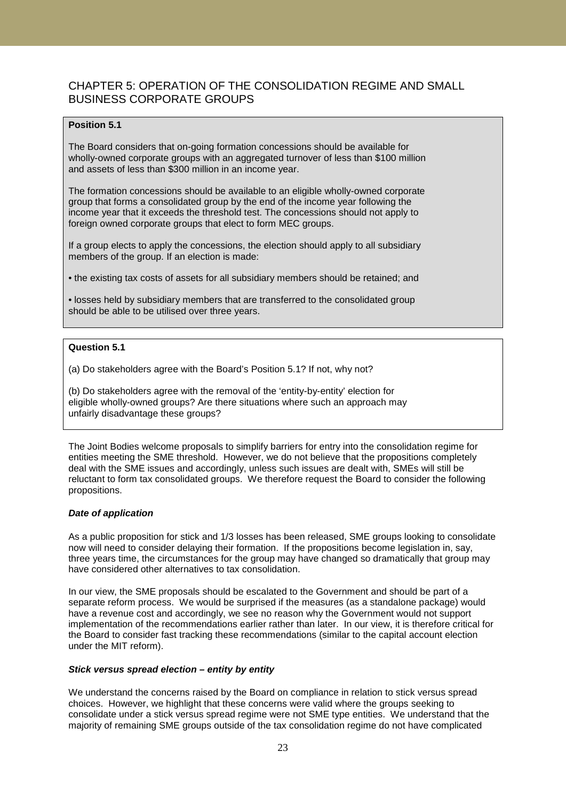# CHAPTER 5: OPERATION OF THE CONSOLIDATION REGIME AND SMALL BUSINESS CORPORATE GROUPS

## **Position 5.1**

The Board considers that on-going formation concessions should be available for wholly-owned corporate groups with an aggregated turnover of less than \$100 million and assets of less than \$300 million in an income year.

The formation concessions should be available to an eligible wholly-owned corporate group that forms a consolidated group by the end of the income year following the income year that it exceeds the threshold test. The concessions should not apply to foreign owned corporate groups that elect to form MEC groups.

If a group elects to apply the concessions, the election should apply to all subsidiary members of the group. If an election is made:

• the existing tax costs of assets for all subsidiary members should be retained; and

• losses held by subsidiary members that are transferred to the consolidated group should be able to be utilised over three years.

## **Question 5.1**

(a) Do stakeholders agree with the Board's Position 5.1? If not, why not?

(b) Do stakeholders agree with the removal of the 'entity-by-entity' election for eligible wholly-owned groups? Are there situations where such an approach may unfairly disadvantage these groups?

The Joint Bodies welcome proposals to simplify barriers for entry into the consolidation regime for entities meeting the SME threshold. However, we do not believe that the propositions completely deal with the SME issues and accordingly, unless such issues are dealt with, SMEs will still be reluctant to form tax consolidated groups. We therefore request the Board to consider the following propositions.

## *Date of application*

As a public proposition for stick and 1/3 losses has been released, SME groups looking to consolidate now will need to consider delaying their formation. If the propositions become legislation in, say, three years time, the circumstances for the group may have changed so dramatically that group may have considered other alternatives to tax consolidation.

In our view, the SME proposals should be escalated to the Government and should be part of a separate reform process. We would be surprised if the measures (as a standalone package) would have a revenue cost and accordingly, we see no reason why the Government would not support implementation of the recommendations earlier rather than later. In our view, it is therefore critical for the Board to consider fast tracking these recommendations (similar to the capital account election under the MIT reform).

#### *Stick versus spread election – entity by entity*

We understand the concerns raised by the Board on compliance in relation to stick versus spread choices. However, we highlight that these concerns were valid where the groups seeking to consolidate under a stick versus spread regime were not SME type entities. We understand that the majority of remaining SME groups outside of the tax consolidation regime do not have complicated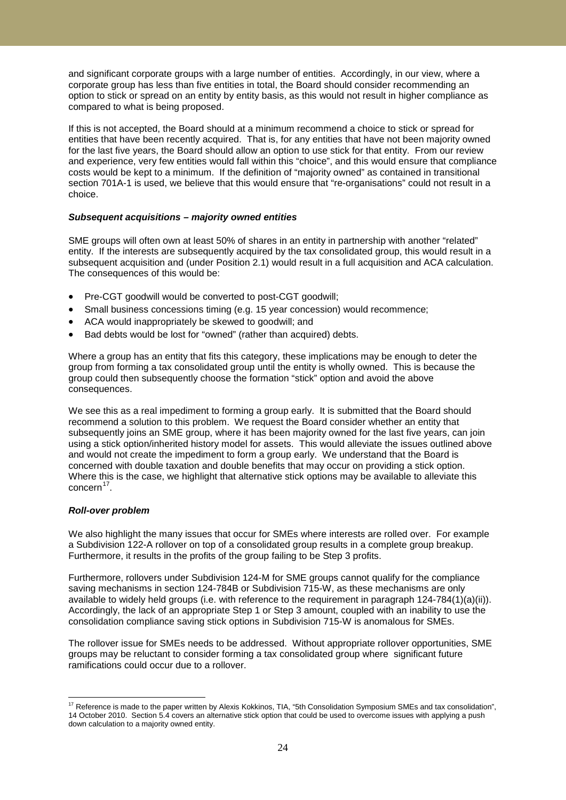and significant corporate groups with a large number of entities. Accordingly, in our view, where a corporate group has less than five entities in total, the Board should consider recommending an option to stick or spread on an entity by entity basis, as this would not result in higher compliance as compared to what is being proposed.

If this is not accepted, the Board should at a minimum recommend a choice to stick or spread for entities that have been recently acquired. That is, for any entities that have not been majority owned for the last five years, the Board should allow an option to use stick for that entity. From our review and experience, very few entities would fall within this "choice", and this would ensure that compliance costs would be kept to a minimum. If the definition of "majority owned" as contained in transitional section 701A-1 is used, we believe that this would ensure that "re-organisations" could not result in a choice.

### *Subsequent acquisitions – majority owned entities*

SME groups will often own at least 50% of shares in an entity in partnership with another "related" entity. If the interests are subsequently acquired by the tax consolidated group, this would result in a subsequent acquisition and (under Position 2.1) would result in a full acquisition and ACA calculation. The consequences of this would be:

- Pre-CGT goodwill would be converted to post-CGT goodwill;
- Small business concessions timing (e.g. 15 year concession) would recommence;
- ACA would inappropriately be skewed to goodwill; and
- Bad debts would be lost for "owned" (rather than acquired) debts.

Where a group has an entity that fits this category, these implications may be enough to deter the group from forming a tax consolidated group until the entity is wholly owned. This is because the group could then subsequently choose the formation "stick" option and avoid the above consequences.

We see this as a real impediment to forming a group early. It is submitted that the Board should recommend a solution to this problem. We request the Board consider whether an entity that subsequently joins an SME group, where it has been majority owned for the last five years, can join using a stick option/inherited history model for assets. This would alleviate the issues outlined above and would not create the impediment to form a group early. We understand that the Board is concerned with double taxation and double benefits that may occur on providing a stick option. Where this is the case, we highlight that alternative stick options may be available to alleviate this  $\text{concern}^{17}$  $\text{concern}^{17}$  $\text{concern}^{17}$ .

#### *Roll-over problem*

We also highlight the many issues that occur for SMEs where interests are rolled over. For example a Subdivision 122-A rollover on top of a consolidated group results in a complete group breakup. Furthermore, it results in the profits of the group failing to be Step 3 profits.

Furthermore, rollovers under Subdivision 124-M for SME groups cannot qualify for the compliance saving mechanisms in section 124-784B or Subdivision 715-W, as these mechanisms are only available to widely held groups (i.e. with reference to the requirement in paragraph 124-784(1)(a)(ii)). Accordingly, the lack of an appropriate Step 1 or Step 3 amount, coupled with an inability to use the consolidation compliance saving stick options in Subdivision 715-W is anomalous for SMEs.

The rollover issue for SMEs needs to be addressed. Without appropriate rollover opportunities, SME groups may be reluctant to consider forming a tax consolidated group where significant future ramifications could occur due to a rollover.

<span id="page-23-0"></span><sup>&</sup>lt;sup>17</sup> Reference is made to the paper written by Alexis Kokkinos, TIA, "5th Consolidation Symposium SMEs and tax consolidation", 14 October 2010. Section 5.4 covers an alternative stick option that could be used to overcome issues with applying a push down calculation to a majority owned entity.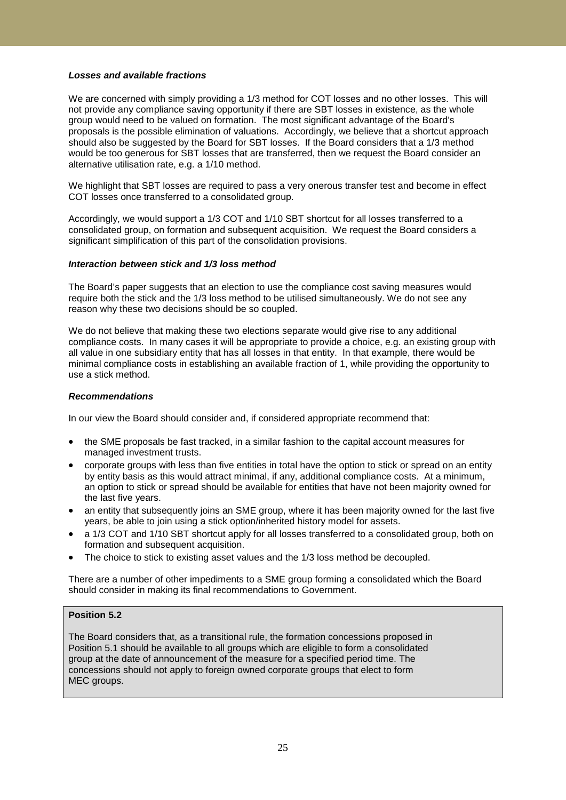### *Losses and available fractions*

We are concerned with simply providing a 1/3 method for COT losses and no other losses. This will not provide any compliance saving opportunity if there are SBT losses in existence, as the whole group would need to be valued on formation. The most significant advantage of the Board's proposals is the possible elimination of valuations. Accordingly, we believe that a shortcut approach should also be suggested by the Board for SBT losses. If the Board considers that a 1/3 method would be too generous for SBT losses that are transferred, then we request the Board consider an alternative utilisation rate, e.g. a 1/10 method.

We highlight that SBT losses are required to pass a very onerous transfer test and become in effect COT losses once transferred to a consolidated group.

Accordingly, we would support a 1/3 COT and 1/10 SBT shortcut for all losses transferred to a consolidated group, on formation and subsequent acquisition. We request the Board considers a significant simplification of this part of the consolidation provisions.

#### *Interaction between stick and 1/3 loss method*

The Board's paper suggests that an election to use the compliance cost saving measures would require both the stick and the 1/3 loss method to be utilised simultaneously. We do not see any reason why these two decisions should be so coupled.

We do not believe that making these two elections separate would give rise to any additional compliance costs. In many cases it will be appropriate to provide a choice, e.g. an existing group with all value in one subsidiary entity that has all losses in that entity. In that example, there would be minimal compliance costs in establishing an available fraction of 1, while providing the opportunity to use a stick method.

### *Recommendations*

In our view the Board should consider and, if considered appropriate recommend that:

- the SME proposals be fast tracked, in a similar fashion to the capital account measures for managed investment trusts.
- corporate groups with less than five entities in total have the option to stick or spread on an entity by entity basis as this would attract minimal, if any, additional compliance costs. At a minimum, an option to stick or spread should be available for entities that have not been majority owned for the last five years.
- an entity that subsequently joins an SME group, where it has been majority owned for the last five years, be able to join using a stick option/inherited history model for assets.
- a 1/3 COT and 1/10 SBT shortcut apply for all losses transferred to a consolidated group, both on formation and subsequent acquisition.
- The choice to stick to existing asset values and the 1/3 loss method be decoupled.

There are a number of other impediments to a SME group forming a consolidated which the Board should consider in making its final recommendations to Government.

## **Position 5.2**

The Board considers that, as a transitional rule, the formation concessions proposed in Position 5.1 should be available to all groups which are eligible to form a consolidated group at the date of announcement of the measure for a specified period time. The concessions should not apply to foreign owned corporate groups that elect to form MEC groups.